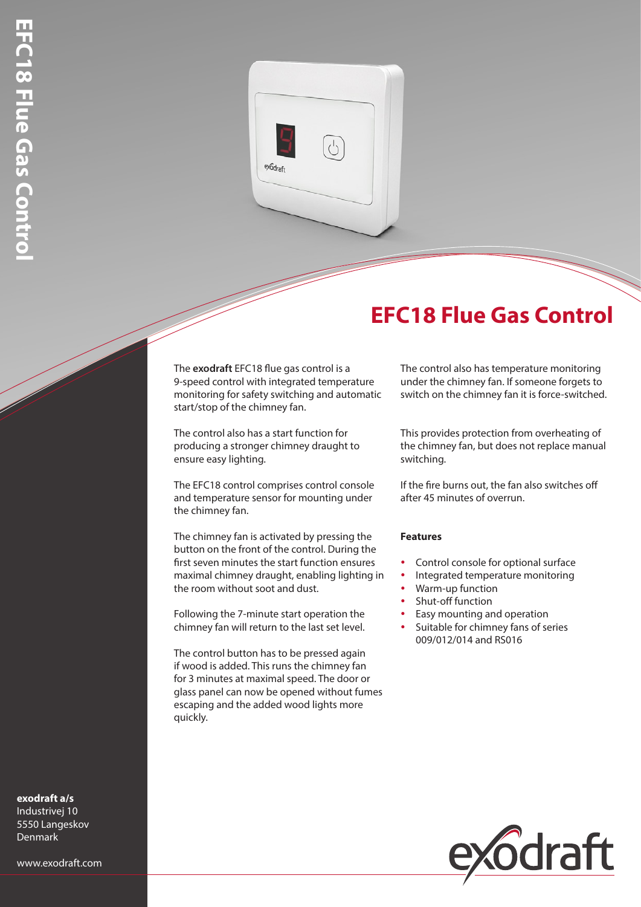

## **EFC18 Flue Gas Control**

The **exodraft** EFC18 flue gas control is a 9-speed control with integrated temperature monitoring for safety switching and automatic start/stop of the chimney fan.

The control also has a start function for producing a stronger chimney draught to ensure easy lighting.

The EFC18 control comprises control console and temperature sensor for mounting under the chimney fan.

The chimney fan is activated by pressing the button on the front of the control. During the first seven minutes the start function ensures maximal chimney draught, enabling lighting in the room without soot and dust.

Following the 7-minute start operation the chimney fan will return to the last set level.

The control button has to be pressed again if wood is added. This runs the chimney fan for 3 minutes at maximal speed. The door or glass panel can now be opened without fumes escaping and the added wood lights more quickly.

The control also has temperature monitoring under the chimney fan. If someone forgets to switch on the chimney fan it is force-switched.

This provides protection from overheating of the chimney fan, but does not replace manual switching.

If the fire burns out, the fan also switches off after 45 minutes of overrun.

## **Features**

- Control console for optional surface
- Integrated temperature monitoring
- Warm-up function
- Shut-off function
- Easy mounting and operation
- Suitable for chimney fans of series 009/012/014 and RS016



**exodraft a/s** Industrivej 10 5550 Langeskov Denmark

www.exodraft.com